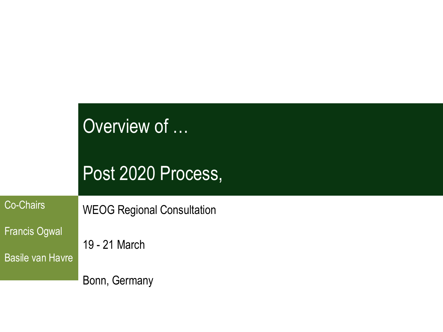| Overview of |  |
|-------------|--|
|             |  |

#### Post 2020 Process,

Co-Chairs

WEOG Regional Consultation

Francis Ogwal

Basile van Havre

19 - 21 March

Bonn, Germany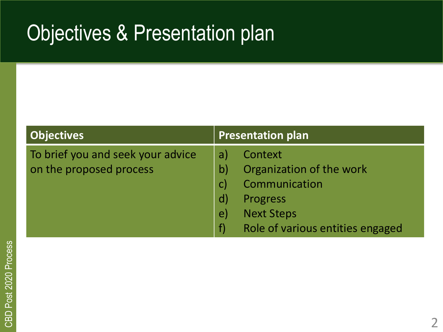#### Objectives & Presentation plan

| <b>Objectives</b>                                            | <b>Presentation plan</b>                                                                                                                 |  |  |
|--------------------------------------------------------------|------------------------------------------------------------------------------------------------------------------------------------------|--|--|
| To brief you and seek your advice<br>on the proposed process | Context<br>a<br>Organization of the work<br>Communication<br>Progress<br><b>Next Steps</b><br>e<br>Role of various entities engaged<br>f |  |  |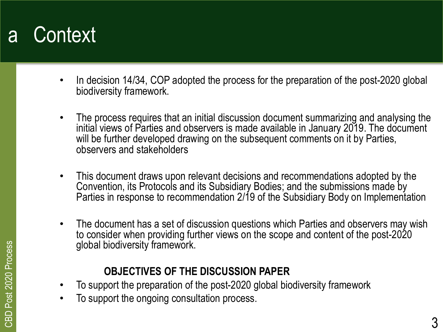#### a Context

- In decision 14/34, COP adopted the process for the preparation of the post-2020 global biodiversity framework.
- The process requires that an initial discussion document summarizing and analysing the initial views of Parties and observers is made available in January 2019. The document will be further developed drawing on the subsequent comments on it by Parties, observers and stakeholders
- This document draws upon relevant decisions and recommendations adopted by the Convention, its Protocols and its Subsidiary Bodies; and the submissions made by Parties in response to recommendation 2/19 of the Subsidiary Body on Implementation
- The document has a set of discussion questions which Parties and observers may wish to consider when providing further views on the scope and content of the post-2020 global biodiversity framework.

#### **OBJECTIVES OF THE DISCUSSION PAPER**

- To support the preparation of the post-2020 global biodiversity framework
- To support the ongoing consultation process.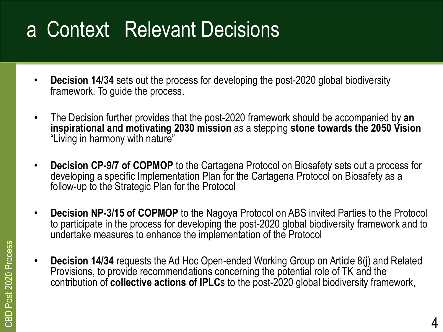#### a Context Relevant Decisions

- **Decision 14/34** sets out the process for developing the post-2020 global biodiversity framework. To guide the process.
- The Decision further provides that the post-2020 framework should be accompanied by **an inspirational and motivating 2030 mission** as a stepping **stone towards the 2050 Vision**  "Living in harmony with nature"
- **Decision CP-9/7 of COPMOP** to the Cartagena Protocol on Biosafety sets out a process for developing a specific Implementation Plan for the Cartagena Protocol on Biosafety as a follow-up to the Strategic Plan for the Protocol
- **Decision NP-3/15 of COPMOP** to the Nagoya Protocol on ABS invited Parties to the Protocol to participate in the process for developing the post-2020 global biodiversity framework and to undertake measures to enhance the implementation of the Protocol
- **Decision 14/34** requests the Ad Hoc Open-ended Working Group on Article 8(j) and Related Provisions, to provide recommendations concerning the potential role of TK and the contribution of **collective actions of IPLC**s to the post-2020 global biodiversity framework,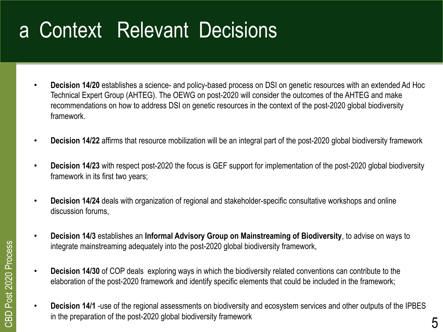#### a Context Relevant Decisions

- **Decision 14/20** establishes a science- and policy-based process on DSI on genetic resources with an extended Ad Hoc Technical Expert Group (AHTEG). The OEWG on post-2020 will consider the outcomes of the AHTEG and make recommendations on how to address DSI on genetic resources in the context of the post-2020 global biodiversity framework.
- **Decision 14/22** affirms that resource mobilization will be an integral part of the post-2020 global biodiversity framework
- **Decision 14/23** with respect post-2020 the focus is GEF support for implementation of the post-2020 global biodiversity framework in its first two years;
- **Decision 14/24** deals with organization of regional and stakeholder-specific consultative workshops and online discussion forums,
- **Decision 14/3** establishes an **Informal Advisory Group on Mainstreaming of Biodiversity**, to advise on ways to integrate mainstreaming adequately into the post-2020 global biodiversity framework,
- **Decision 14/30** of COP deals exploring ways in which the biodiversity related conventions can contribute to the elaboration of the post-2020 framework and identify specific elements that could be included in the framework;
- **Decision 14/1** -use of the regional assessments on biodiversity and ecosystem services and other outputs of the IPBES in the preparation of the post-2020 global biodiversity framework  $5$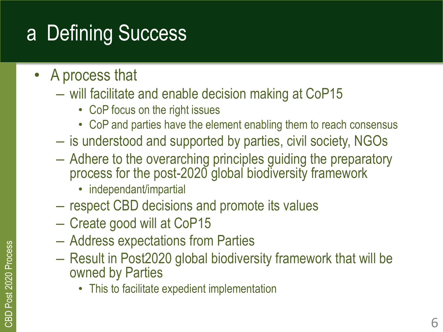## a Defining Success

- A process that
	- will facilitate and enable decision making at CoP15
		- CoP focus on the right issues
		- CoP and parties have the element enabling them to reach consensus
	- is understood and supported by parties, civil society, NGOs
	- Adhere to the overarching principles guiding the preparatory process for the post-2020 global biodiversity framework
		- independant/impartial
	- respect CBD decisions and promote its values
	- Create good will at CoP15
	- Address expectations from Parties
	- Result in Post2020 global biodiversity framework that will be owned by Parties
		- This to facilitate expedient implementation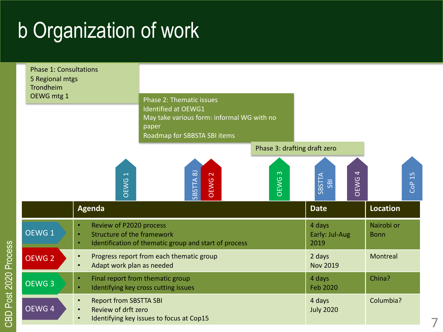#### b Organization of work



CBD Post 2020 Process

CBD Post 2020 Process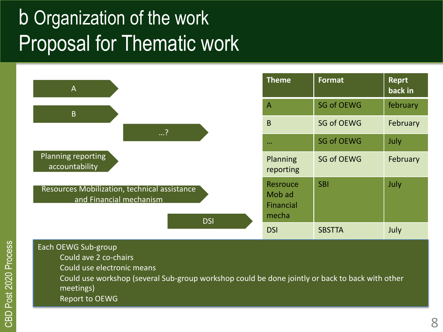#### b Organization of the work Proposal for Thematic work



Each OEWG Sub-group Could ave 2 co-chairs Could use electronic means Could use workshop (several Sub-group workshop could be done jointly or back to back with other meetings) Report to OEWG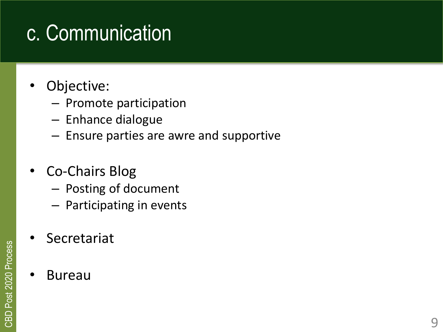## c. Communication

- Objective:
	- Promote participation
	- Enhance dialogue
	- Ensure parties are awre and supportive
- Co-Chairs Blog
	- Posting of document
	- Participating in events
- **Secretariat**
- Bureau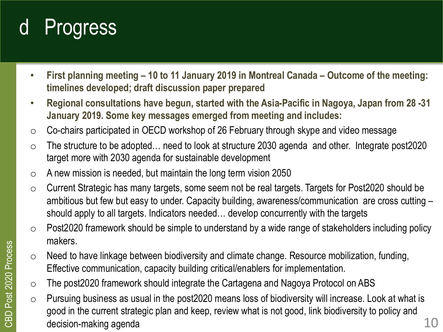## d Progress

- **First planning meeting – 10 to 11 January 2019 in Montreal Canada – Outcome of the meeting: timelines developed; draft discussion paper prepared**
- **Regional consultations have begun, started with the Asia-Pacific in Nagoya, Japan from 28 -31 January 2019. Some key messages emerged from meeting and includes:**
- o Co-chairs participated in OECD workshop of 26 February through skype and video message
- $\circ$  The structure to be adopted... need to look at structure 2030 agenda and other. Integrate post2020 target more with 2030 agenda for sustainable development
- $\circ$  A new mission is needed, but maintain the long term vision 2050
- $\circ$  Current Strategic has many targets, some seem not be real targets. Targets for Post2020 should be ambitious but few but easy to under. Capacity building, awareness/communication are cross cutting – should apply to all targets. Indicators needed… develop concurrently with the targets
- $\circ$  Post2020 framework should be simple to understand by a wide range of stakeholders including policy makers.
- $\circ$  Need to have linkage between biodiversity and climate change. Resource mobilization, funding, Effective communication, capacity building critical/enablers for implementation.
- o The post2020 framework should integrate the Cartagena and Nagoya Protocol on ABS
- o Pursuing business as usual in the post2020 means loss of biodiversity will increase. Look at what is good in the current strategic plan and keep, review what is not good, link biodiversity to policy and decision-making agenda  $10$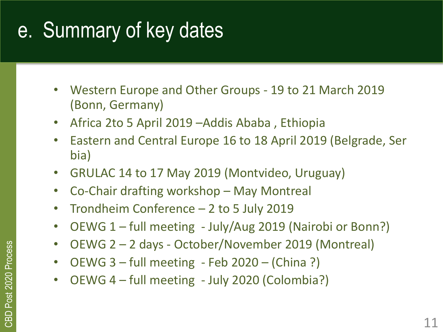#### e. Summary of key dates

- Western Europe and Other Groups 19 to 21 March 2019 (Bonn, Germany)
- Africa 2to 5 April 2019 –Addis Ababa , Ethiopia
- Eastern and Central Europe 16 to 18 April 2019 (Belgrade, Ser bia)
- GRULAC 14 to 17 May 2019 (Montvideo, Uruguay)
- Co-Chair drafting workshop May Montreal
- Trondheim Conference 2 to 5 July 2019
- OEWG 1 full meeting July/Aug 2019 (Nairobi or Bonn?)
- OEWG 2 2 days October/November 2019 (Montreal)
- OEWG 3 full meeting Feb 2020 (China ?)
- OEWG 4 full meeting July 2020 (Colombia?)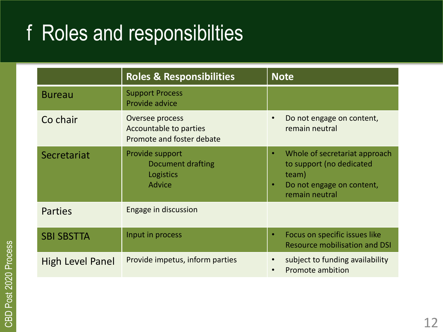#### f Roles and responsibilties

|                         | <b>Roles &amp; Responsibilities</b>                                    | <b>Note</b>                                                                                                                         |
|-------------------------|------------------------------------------------------------------------|-------------------------------------------------------------------------------------------------------------------------------------|
| <b>Bureau</b>           | <b>Support Process</b><br>Provide advice                               |                                                                                                                                     |
| Co chair                | Oversee process<br>Accountable to parties<br>Promote and foster debate | Do not engage on content,<br>remain neutral                                                                                         |
| Secretariat             | Provide support<br>Document drafting<br>Logistics<br><b>Advice</b>     | Whole of secretariat approach<br>$\bullet$<br>to support (no dedicated<br>team)<br>Do not engage on content,<br>٠<br>remain neutral |
| <b>Parties</b>          | Engage in discussion                                                   |                                                                                                                                     |
| <b>SBI SBSTTA</b>       | Input in process                                                       | Focus on specific issues like<br>٠<br><b>Resource mobilisation and DSI</b>                                                          |
| <b>High Level Panel</b> | Provide impetus, inform parties                                        | subject to funding availability<br><b>Promote ambition</b>                                                                          |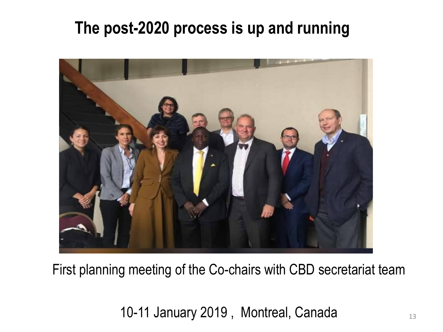#### **The post-2020 process is up and running**



First planning meeting of the Co-chairs with CBD secretariat team

10-11 January 2019, Montreal, Canada